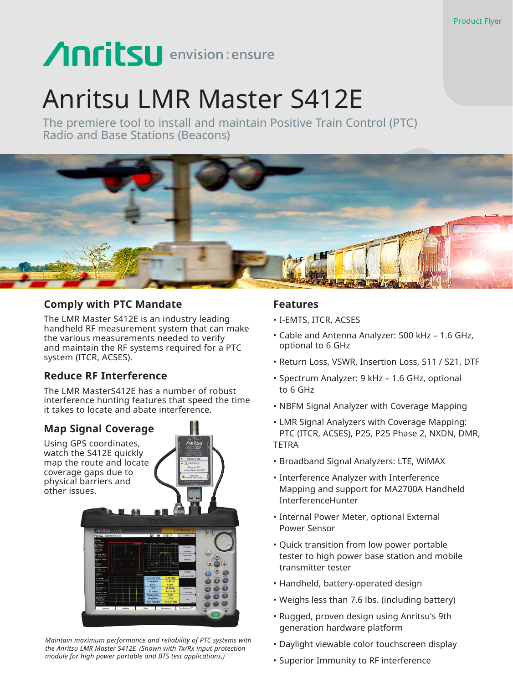# Anritsu envision: ensure

## Anritsu LMR Master S412E

The premiere tool to install and maintain Positive Train Control (PTC) Radio and Base Stations (Beacons)



### **Comply with PTC Mandate**

The LMR Master S412E is an industry leading handheld RF measurement system that can make the various measurements needed to verify and maintain the RF systems required for a PTC system (ITCR, ACSES).

## **Reduce RF Interference**

The LMR MasterS412E has a number of robust interference hunting features that speed the time it takes to locate and abate interference.

> I A<br>Vinritsu

## **Map Signal Coverage**

Using GPS coordinates, watch the S412E quickly map the route and locate coverage gaps due to physical barriers and other issues.



*Maintain maximum performance and reliability of PTC systems with the Anritsu LMR Master S412E. (Shown with Tx/Rx input protection module for high power portable and BTS test applications.)*

## **Features**

- I-EMTS, ITCR, ACSES
- Cable and Antenna Analyzer: 500 kHz 1.6 GHz, optional to 6 GHz
- Return Loss, VSWR, Insertion Loss, S11 / S21, DTF
- Spectrum Analyzer: 9 kHz 1.6 GHz, optional to 6 GHz
- NBFM Signal Analyzer with Coverage Mapping
- LMR Signal Analyzers with Coverage Mapping: PTC (ITCR, ACSES), P25, P25 Phase 2, NXDN, DMR, TETRA
- Broadband Signal Analyzers: LTE, WiMAX
- Interference Analyzer with Interference Mapping and support for MA2700A Handheld InterferenceHunter
- Internal Power Meter, optional External Power Sensor
- Quick transition from low power portable tester to high power base station and mobile transmitter tester
- Handheld, battery-operated design
- Weighs less than 7.6 lbs. (including battery)
- Rugged, proven design using Anritsu's 9th generation hardware platform
- Daylight viewable color touchscreen display
- Superior Immunity to RF interference